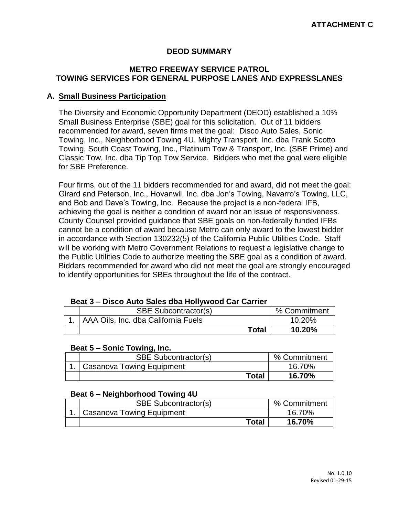# **DEOD SUMMARY**

## **METRO FREEWAY SERVICE PATROL TOWING SERVICES FOR GENERAL PURPOSE LANES AND EXPRESSLANES**

## **A. Small Business Participation**

The Diversity and Economic Opportunity Department (DEOD) established a 10% Small Business Enterprise (SBE) goal for this solicitation. Out of 11 bidders recommended for award, seven firms met the goal: Disco Auto Sales, Sonic Towing, Inc., Neighborhood Towing 4U, Mighty Transport, Inc. dba Frank Scotto Towing, South Coast Towing, Inc., Platinum Tow & Transport, Inc. (SBE Prime) and Classic Tow, Inc. dba Tip Top Tow Service. Bidders who met the goal were eligible for SBE Preference.

Four firms, out of the 11 bidders recommended for and award, did not meet the goal: Girard and Peterson, Inc., Hovanwil, Inc. dba Jon's Towing, Navarro's Towing, LLC, and Bob and Dave's Towing, Inc. Because the project is a non-federal IFB, achieving the goal is neither a condition of award nor an issue of responsiveness. County Counsel provided guidance that SBE goals on non-federally funded IFBs cannot be a condition of award because Metro can only award to the lowest bidder in accordance with Section 130232(5) of the California Public Utilities Code. Staff will be working with Metro Government Relations to request a legislative change to the Public Utilities Code to authorize meeting the SBE goal as a condition of award. Bidders recommended for award who did not meet the goal are strongly encouraged to identify opportunities for SBEs throughout the life of the contract.

#### **Beat 3 – Disco Auto Sales dba Hollywood Car Carrier**

| <b>SBE Subcontractor(s)</b>         | % Commitment |
|-------------------------------------|--------------|
| AAA Oils, Inc. dba California Fuels | 10.20%       |
| <b>Total</b>                        | 10.20%       |

#### **Beat 5 – Sonic Towing, Inc.**

| <b>SBE Subcontractor(s)</b>    | % Commitment |
|--------------------------------|--------------|
| 1.   Casanova Towing Equipment | 16.70%       |
| Total                          | 16.70%       |

#### **Beat 6 – Neighborhood Towing 4U**

| <b>SBE Subcontractor(s)</b> | % Commitment |
|-----------------------------|--------------|
| Casanova Towing Equipment   | 16.70%       |
| <b>Total</b>                | 16.70%       |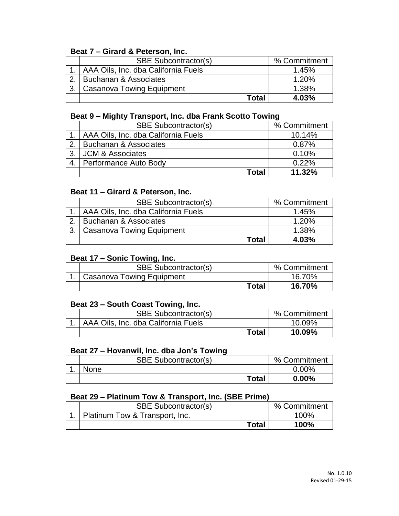# **Beat 7 – Girard & Peterson, Inc.**

| <b>SBE Subcontractor(s)</b>              | % Commitment |
|------------------------------------------|--------------|
| 1.   AAA Oils, Inc. dba California Fuels | 1.45%        |
| <b>Buchanan &amp; Associates</b>         | 1.20%        |
| Casanova Towing Equipment                | 1.38%        |
| Total                                    | 4.03%        |

# **Beat 9 – Mighty Transport, Inc. dba Frank Scotto Towing**

|    | <b>SBE Subcontractor(s)</b>              | % Commitment |
|----|------------------------------------------|--------------|
|    | 1.   AAA Oils, Inc. dba California Fuels | 10.14%       |
| 2. | Buchanan & Associates                    | 0.87%        |
| 3. | <b>JCM &amp; Associates</b>              | 0.10%        |
|    | 4.   Performance Auto Body               | 0.22%        |
|    | <b>Total</b>                             | 11.32%       |

# **Beat 11 – Girard & Peterson, Inc.**

|    | <b>SBE Subcontractor(s)</b>              | % Commitment |
|----|------------------------------------------|--------------|
|    | 1.   AAA Oils, Inc. dba California Fuels | 1.45%        |
|    | Buchanan & Associates                    | 1.20%        |
| 3. | Casanova Towing Equipment                | 1.38%        |
|    | Total                                    | 4.03%        |

# **Beat 17 – Sonic Towing, Inc.**

| <b>SBE Subcontractor(s)</b> | % Commitment |
|-----------------------------|--------------|
| Casanova Towing Equipment   | 16.70%       |
| <b>Total</b>                | 16.70%       |

#### **Beat 23 – South Coast Towing, Inc.**

| <b>SBE Subcontractor(s)</b>              | % Commitment |
|------------------------------------------|--------------|
| 1.   AAA Oils, Inc. dba California Fuels | 10.09%       |
| <b>Total</b>                             | 10.09%       |

## **Beat 27 – Hovanwil, Inc. dba Jon's Towing**

| <b>SBE Subcontractor(s)</b> | % Commitment |
|-----------------------------|--------------|
| None                        | $0.00\%$     |
| <b>Total</b>                | $0.00\%$     |

# **Beat 29 – Platinum Tow & Transport, Inc. (SBE Prime)**

| <b>SBE Subcontractor(s)</b>    | % Commitment |
|--------------------------------|--------------|
| Platinum Tow & Transport, Inc. | 100%         |
| <b>Total</b>                   | 100%         |